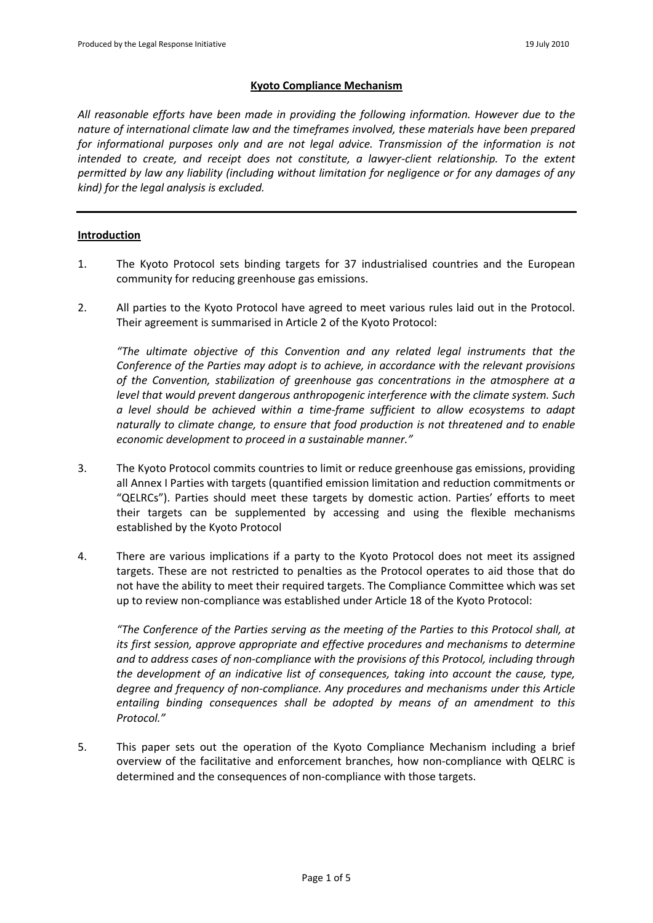## **Kyoto Compliance Mechanism**

*All reasonable efforts have been made in providing the following information. However due to the nature of international climate law and the timeframes involved, these materials have been prepared for informational purposes only and are not legal advice. Transmission of the information is not intended to create, and receipt does not constitute, a lawyer-client relationship. To the extent permitted by law any liability (including without limitation for negligence or for any damages of any kind) for the legal analysis is excluded.*

## **Introduction**

- 1. The Kyoto Protocol sets binding targets for 37 industrialised countries and the European community for reducing greenhouse gas emissions.
- 2. All parties to the Kyoto Protocol have agreed to meet various rules laid out in the Protocol. Their agreement is summarised in Article 2 of the Kyoto Protocol:

*"The ultimate objective of this Convention and any related legal instruments that the Conference of the Parties may adopt is to achieve, in accordance with the relevant provisions of the Convention, stabilization of greenhouse gas concentrations in the atmosphere at a level that would prevent dangerous anthropogenic interference with the climate system. Such a level should be achieved within a time-frame sufficient to allow ecosystems to adapt naturally to climate change, to ensure that food production is not threatened and to enable economic development to proceed in a sustainable manner."*

- 3. The Kyoto Protocol commits countries to limit or reduce greenhouse gas emissions, providing all Annex I Parties with targets (quantified emission limitation and reduction commitments or "QELRCs"). Parties should meet these targets by domestic action. Parties' efforts to meet their targets can be supplemented by accessing and using the flexible mechanisms established by the Kyoto Protocol
- 4. There are various implications if a party to the Kyoto Protocol does not meet its assigned targets. These are not restricted to penalties as the Protocol operates to aid those that do not have the ability to meet their required targets. The Compliance Committee which was set up to review non-compliance was established under Article 18 of the Kyoto Protocol:

*"The Conference of the Parties serving as the meeting of the Parties to this Protocol shall, at its first session, approve appropriate and effective procedures and mechanisms to determine and to address cases of non-compliance with the provisions of this Protocol, including through the development of an indicative list of consequences, taking into account the cause, type, degree and frequency of non-compliance. Any procedures and mechanisms under this Article entailing binding consequences shall be adopted by means of an amendment to this Protocol."*

5. This paper sets out the operation of the Kyoto Compliance Mechanism including a brief overview of the facilitative and enforcement branches, how non-compliance with QELRC is determined and the consequences of non-compliance with those targets.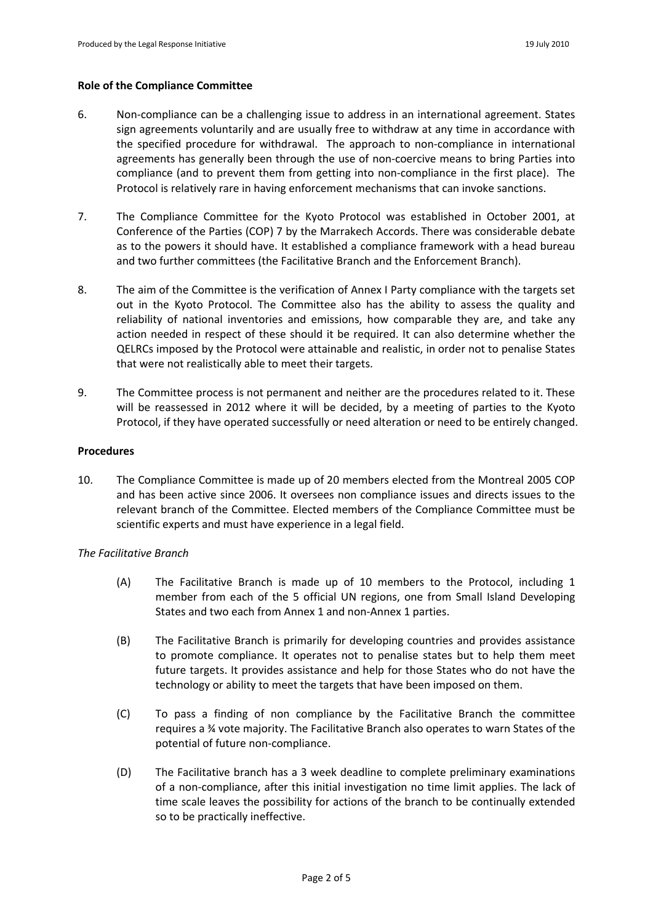#### **Role of the Compliance Committee**

- 6. Non-compliance can be a challenging issue to address in an international agreement. States sign agreements voluntarily and are usually free to withdraw at any time in accordance with the specified procedure for withdrawal. The approach to non-compliance in international agreements has generally been through the use of non-coercive means to bring Parties into compliance (and to prevent them from getting into non-compliance in the first place). The Protocol is relatively rare in having enforcement mechanisms that can invoke sanctions.
- 7. The Compliance Committee for the Kyoto Protocol was established in October 2001, at Conference of the Parties (COP) 7 by the Marrakech Accords. There was considerable debate as to the powers it should have. It established a compliance framework with a head bureau and two further committees (the Facilitative Branch and the Enforcement Branch).
- 8. The aim of the Committee is the verification of Annex I Party compliance with the targets set out in the Kyoto Protocol. The Committee also has the ability to assess the quality and reliability of national inventories and emissions, how comparable they are, and take any action needed in respect of these should it be required. It can also determine whether the QELRCs imposed by the Protocol were attainable and realistic, in order not to penalise States that were not realistically able to meet their targets.
- 9. The Committee process is not permanent and neither are the procedures related to it. These will be reassessed in 2012 where it will be decided, by a meeting of parties to the Kyoto Protocol, if they have operated successfully or need alteration or need to be entirely changed.

#### **Procedures**

10. The Compliance Committee is made up of 20 members elected from the Montreal 2005 COP and has been active since 2006. It oversees non compliance issues and directs issues to the relevant branch of the Committee. Elected members of the Compliance Committee must be scientific experts and must have experience in a legal field.

#### *The Facilitative Branch*

- (A) The Facilitative Branch is made up of 10 members to the Protocol, including 1 member from each of the 5 official UN regions, one from Small Island Developing States and two each from Annex 1 and non-Annex 1 parties.
- (B) The Facilitative Branch is primarily for developing countries and provides assistance to promote compliance. It operates not to penalise states but to help them meet future targets. It provides assistance and help for those States who do not have the technology or ability to meet the targets that have been imposed on them.
- (C) To pass a finding of non compliance by the Facilitative Branch the committee requires a ¾ vote majority. The Facilitative Branch also operates to warn States of the potential of future non-compliance.
- (D) The Facilitative branch has a 3 week deadline to complete preliminary examinations of a non-compliance, after this initial investigation no time limit applies. The lack of time scale leaves the possibility for actions of the branch to be continually extended so to be practically ineffective.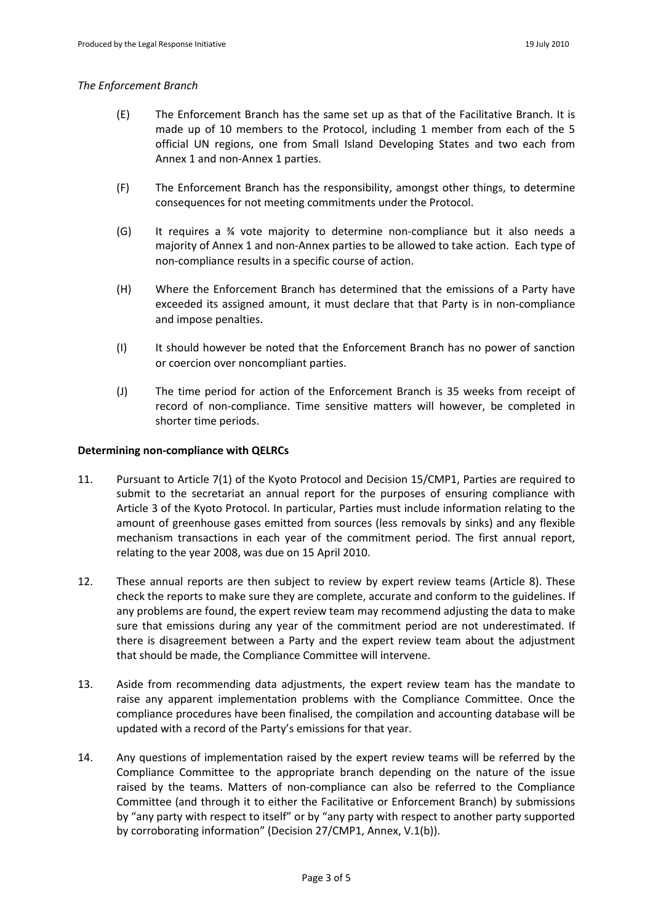### *The Enforcement Branch*

- (E) The Enforcement Branch has the same set up as that of the Facilitative Branch. It is made up of 10 members to the Protocol, including 1 member from each of the 5 official UN regions, one from Small Island Developing States and two each from Annex 1 and non-Annex 1 parties.
- (F) The Enforcement Branch has the responsibility, amongst other things, to determine consequences for not meeting commitments under the Protocol.
- (G) It requires a ¾ vote majority to determine non-compliance but it also needs a majority of Annex 1 and non-Annex parties to be allowed to take action. Each type of non-compliance results in a specific course of action.
- (H) Where the Enforcement Branch has determined that the emissions of a Party have exceeded its assigned amount, it must declare that that Party is in non-compliance and impose penalties.
- (I) It should however be noted that the Enforcement Branch has no power of sanction or coercion over noncompliant parties.
- (J) The time period for action of the Enforcement Branch is 35 weeks from receipt of record of non-compliance. Time sensitive matters will however, be completed in shorter time periods.

# **Determining non-compliance with QELRCs**

- 11. Pursuant to Article 7(1) of the Kyoto Protocol and Decision 15/CMP1, Parties are required to submit to the secretariat an annual report for the purposes of ensuring compliance with Article 3 of the Kyoto Protocol. In particular, Parties must include information relating to the amount of greenhouse gases emitted from sources (less removals by sinks) and any flexible mechanism transactions in each year of the commitment period. The first annual report, relating to the year 2008, was due on 15 April 2010.
- 12. These annual reports are then subject to review by expert review teams (Article 8). These check the reports to make sure they are complete, accurate and conform to the guidelines. If any problems are found, the expert review team may recommend adjusting the data to make sure that emissions during any year of the commitment period are not underestimated. If there is disagreement between a Party and the expert review team about the adjustment that should be made, the Compliance Committee will intervene.
- 13. Aside from recommending data adjustments, the expert review team has the mandate to raise any apparent implementation problems with the Compliance Committee. Once the compliance procedures have been finalised, the compilation and accounting database will be updated with a record of the Party's emissions for that year.
- 14. Any questions of implementation raised by the expert review teams will be referred by the Compliance Committee to the appropriate branch depending on the nature of the issue raised by the teams. Matters of non-compliance can also be referred to the Compliance Committee (and through it to either the Facilitative or Enforcement Branch) by submissions by "any party with respect to itself" or by "any party with respect to another party supported by corroborating information" (Decision 27/CMP1, Annex, V.1(b)).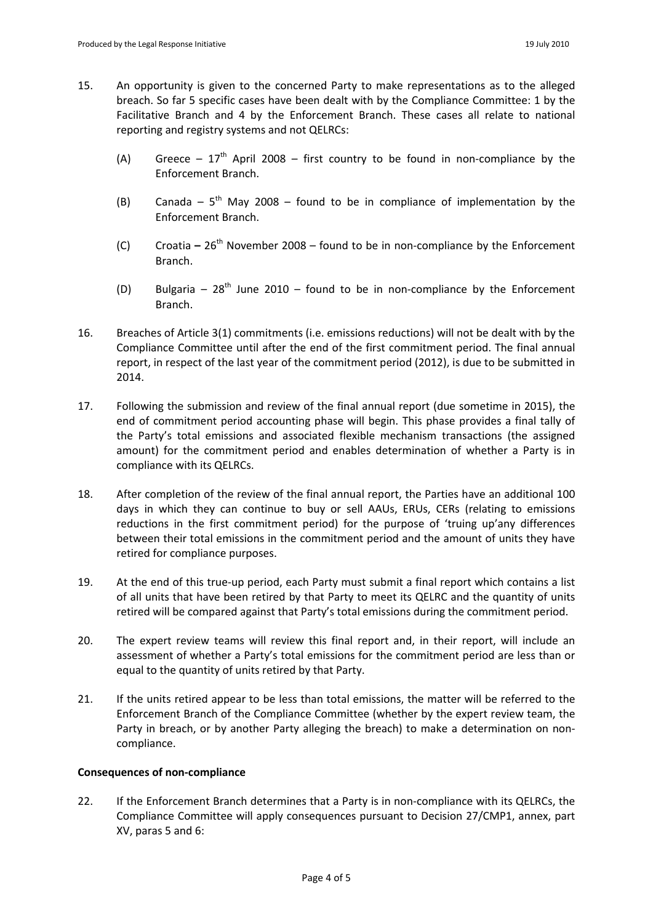- 15. An opportunity is given to the concerned Party to make representations as to the alleged breach. So far 5 specific cases have been dealt with by the Compliance Committee: 1 by the Facilitative Branch and 4 by the Enforcement Branch. These cases all relate to national reporting and registry systems and not QELRCs:
	- (A) Greece  $-17<sup>th</sup>$  April 2008 first country to be found in non-compliance by the Enforcement Branch.
	- (B) Canada  $5<sup>th</sup>$  May 2008 found to be in compliance of implementation by the Enforcement Branch.
	- (C) Croatia **–** 26th November 2008 found to be in non-compliance by the Enforcement Branch.
	- (D) Bulgaria  $28^{th}$  June 2010 found to be in non-compliance by the Enforcement Branch.
- 16. Breaches of Article 3(1) commitments (i.e. emissions reductions) will not be dealt with by the Compliance Committee until after the end of the first commitment period. The final annual report, in respect of the last year of the commitment period (2012), is due to be submitted in 2014.
- 17. Following the submission and review of the final annual report (due sometime in 2015), the end of commitment period accounting phase will begin. This phase provides a final tally of the Party's total emissions and associated flexible mechanism transactions (the assigned amount) for the commitment period and enables determination of whether a Party is in compliance with its QELRCs.
- 18. After completion of the review of the final annual report, the Parties have an additional 100 days in which they can continue to buy or sell AAUs, ERUs, CERs (relating to emissions reductions in the first commitment period) for the purpose of 'truing up'any differences between their total emissions in the commitment period and the amount of units they have retired for compliance purposes.
- 19. At the end of this true-up period, each Party must submit a final report which contains a list of all units that have been retired by that Party to meet its QELRC and the quantity of units retired will be compared against that Party's total emissions during the commitment period.
- 20. The expert review teams will review this final report and, in their report, will include an assessment of whether a Party's total emissions for the commitment period are less than or equal to the quantity of units retired by that Party.
- 21. If the units retired appear to be less than total emissions, the matter will be referred to the Enforcement Branch of the Compliance Committee (whether by the expert review team, the Party in breach, or by another Party alleging the breach) to make a determination on noncompliance.

## **Consequences of non-compliance**

22. If the Enforcement Branch determines that a Party is in non-compliance with its QELRCs, the Compliance Committee will apply consequences pursuant to Decision 27/CMP1, annex, part XV, paras 5 and 6: